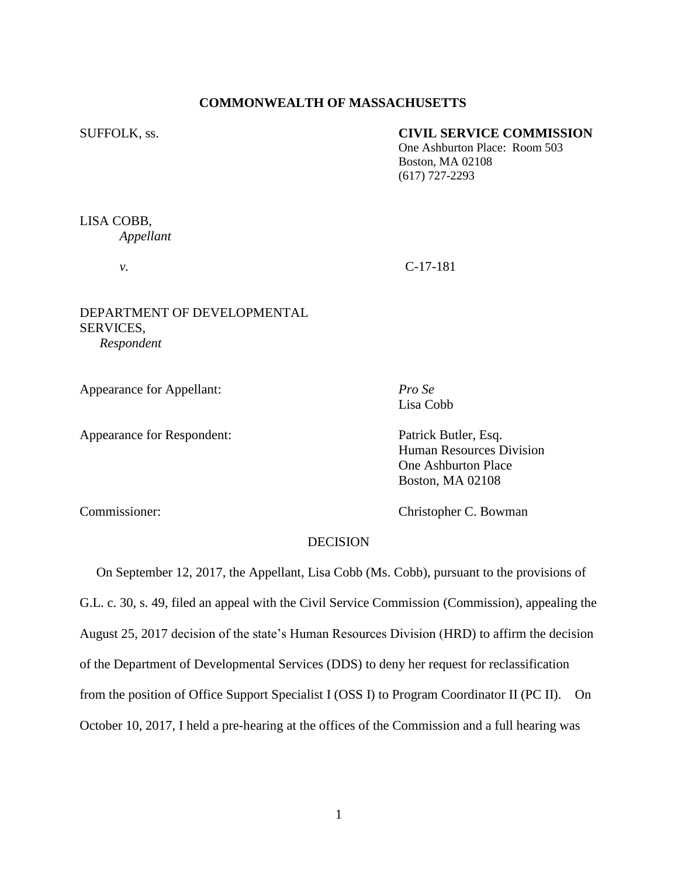## **COMMONWEALTH OF MASSACHUSETTS**

#### SUFFOLK, ss. **CIVIL SERVICE COMMISSION**

One Ashburton Place: Room 503 Boston, MA 02108 (617) 727-2293

# LISA COBB, *Appellant*

*v.* C-17-181

## DEPARTMENT OF DEVELOPMENTAL SERVICES, *Respondent*

Appearance for Appellant: *Pro Se*

Appearance for Respondent: Patrick Butler, Esq.

Lisa Cobb

Human Resources Division One Ashburton Place Boston, MA 02108

Commissioner: Christopher C. Bowman

# DECISION

 On September 12, 2017, the Appellant, Lisa Cobb (Ms. Cobb), pursuant to the provisions of G.L. c. 30, s. 49, filed an appeal with the Civil Service Commission (Commission), appealing the August 25, 2017 decision of the state's Human Resources Division (HRD) to affirm the decision of the Department of Developmental Services (DDS) to deny her request for reclassification from the position of Office Support Specialist I (OSS I) to Program Coordinator II (PC II). On October 10, 2017, I held a pre-hearing at the offices of the Commission and a full hearing was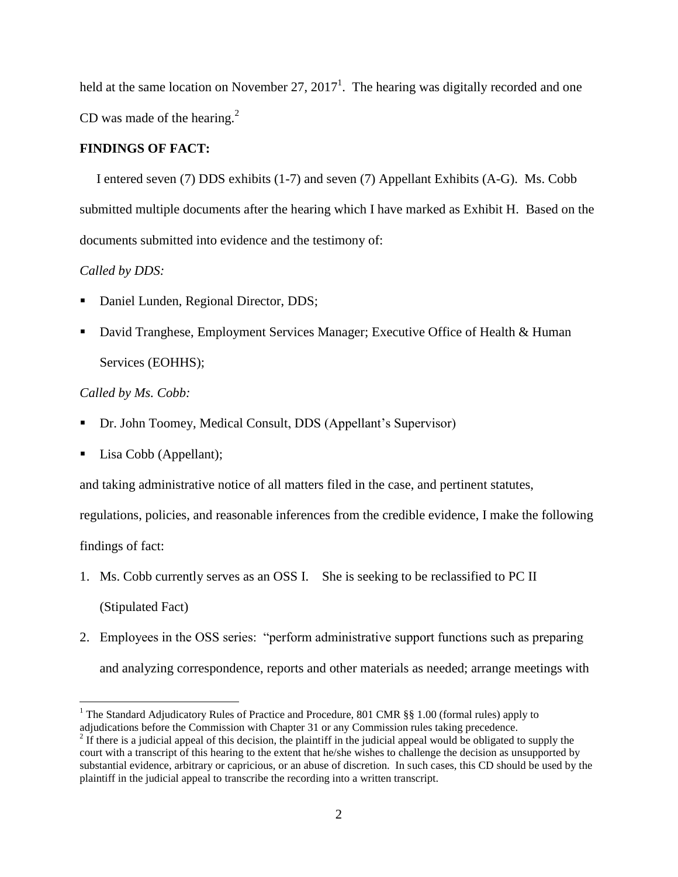held at the same location on November 27, 2017<sup>1</sup>. The hearing was digitally recorded and one CD was made of the hearing. $2$ 

#### **FINDINGS OF FACT:**

 I entered seven (7) DDS exhibits (1-7) and seven (7) Appellant Exhibits (A-G). Ms. Cobb submitted multiple documents after the hearing which I have marked as Exhibit H. Based on the documents submitted into evidence and the testimony of:

## *Called by DDS:*

- Daniel Lunden, Regional Director, DDS;
- David Tranghese, Employment Services Manager; Executive Office of Health & Human Services (EOHHS);

# *Called by Ms. Cobb:*

- Dr. John Toomey, Medical Consult, DDS (Appellant's Supervisor)
- Lisa Cobb (Appellant);

and taking administrative notice of all matters filed in the case, and pertinent statutes,

regulations, policies, and reasonable inferences from the credible evidence, I make the following findings of fact:

1. Ms. Cobb currently serves as an OSS I. She is seeking to be reclassified to PC II (Stipulated Fact)

2. Employees in the OSS series: "perform administrative support functions such as preparing and analyzing correspondence, reports and other materials as needed; arrange meetings with

 $\overline{a}$ <sup>1</sup> The Standard Adjudicatory Rules of Practice and Procedure, 801 CMR  $\S$ § 1.00 (formal rules) apply to adjudications before the Commission with Chapter 31 or any Commission rules taking precedence.

 $2<sup>2</sup>$  If there is a judicial appeal of this decision, the plaintiff in the judicial appeal would be obligated to supply the court with a transcript of this hearing to the extent that he/she wishes to challenge the decision as unsupported by substantial evidence, arbitrary or capricious, or an abuse of discretion. In such cases, this CD should be used by the plaintiff in the judicial appeal to transcribe the recording into a written transcript.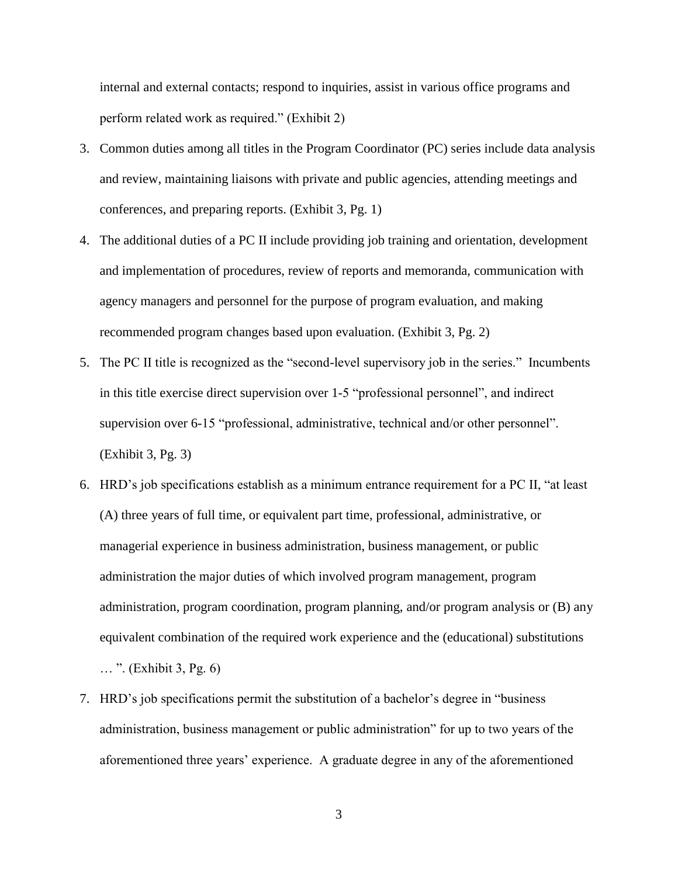internal and external contacts; respond to inquiries, assist in various office programs and perform related work as required." (Exhibit 2)

- 3. Common duties among all titles in the Program Coordinator (PC) series include data analysis and review, maintaining liaisons with private and public agencies, attending meetings and conferences, and preparing reports. (Exhibit 3, Pg. 1)
- 4. The additional duties of a PC II include providing job training and orientation, development and implementation of procedures, review of reports and memoranda, communication with agency managers and personnel for the purpose of program evaluation, and making recommended program changes based upon evaluation. (Exhibit 3, Pg. 2)
- 5. The PC II title is recognized as the "second-level supervisory job in the series." Incumbents in this title exercise direct supervision over 1-5 "professional personnel", and indirect supervision over 6-15 "professional, administrative, technical and/or other personnel". (Exhibit 3, Pg. 3)
- 6. HRD's job specifications establish as a minimum entrance requirement for a PC II, "at least (A) three years of full time, or equivalent part time, professional, administrative, or managerial experience in business administration, business management, or public administration the major duties of which involved program management, program administration, program coordination, program planning, and/or program analysis or (B) any equivalent combination of the required work experience and the (educational) substitutions … ". (Exhibit 3, Pg. 6)
- 7. HRD's job specifications permit the substitution of a bachelor's degree in "business administration, business management or public administration" for up to two years of the aforementioned three years' experience. A graduate degree in any of the aforementioned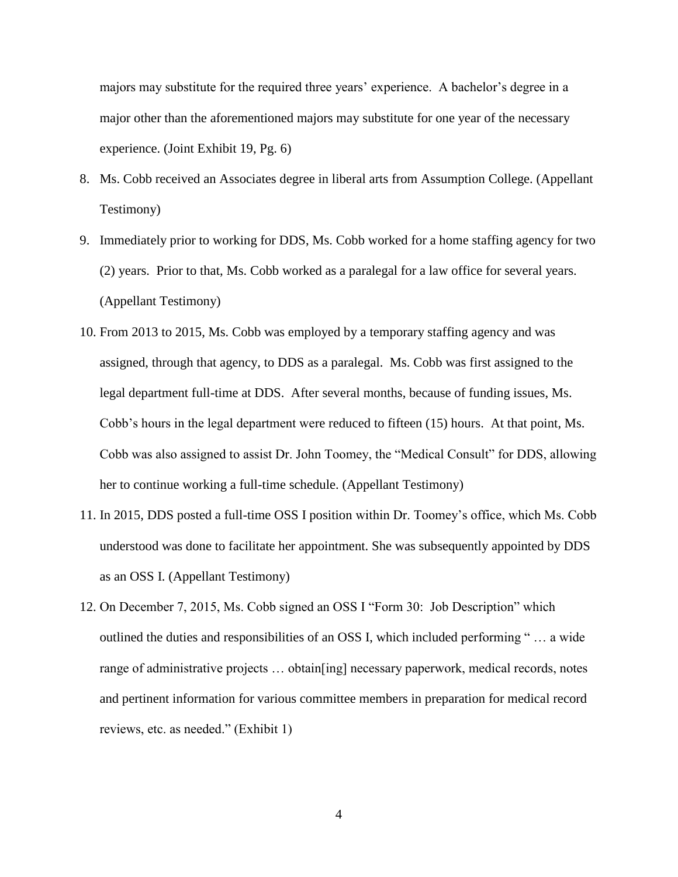majors may substitute for the required three years' experience. A bachelor's degree in a major other than the aforementioned majors may substitute for one year of the necessary experience. (Joint Exhibit 19, Pg. 6)

- 8. Ms. Cobb received an Associates degree in liberal arts from Assumption College. (Appellant Testimony)
- 9. Immediately prior to working for DDS, Ms. Cobb worked for a home staffing agency for two (2) years. Prior to that, Ms. Cobb worked as a paralegal for a law office for several years. (Appellant Testimony)
- 10. From 2013 to 2015, Ms. Cobb was employed by a temporary staffing agency and was assigned, through that agency, to DDS as a paralegal. Ms. Cobb was first assigned to the legal department full-time at DDS. After several months, because of funding issues, Ms. Cobb's hours in the legal department were reduced to fifteen (15) hours. At that point, Ms. Cobb was also assigned to assist Dr. John Toomey, the "Medical Consult" for DDS, allowing her to continue working a full-time schedule. (Appellant Testimony)
- 11. In 2015, DDS posted a full-time OSS I position within Dr. Toomey's office, which Ms. Cobb understood was done to facilitate her appointment. She was subsequently appointed by DDS as an OSS I. (Appellant Testimony)
- 12. On December 7, 2015, Ms. Cobb signed an OSS I "Form 30: Job Description" which outlined the duties and responsibilities of an OSS I, which included performing " … a wide range of administrative projects … obtain[ing] necessary paperwork, medical records, notes and pertinent information for various committee members in preparation for medical record reviews, etc. as needed." (Exhibit 1)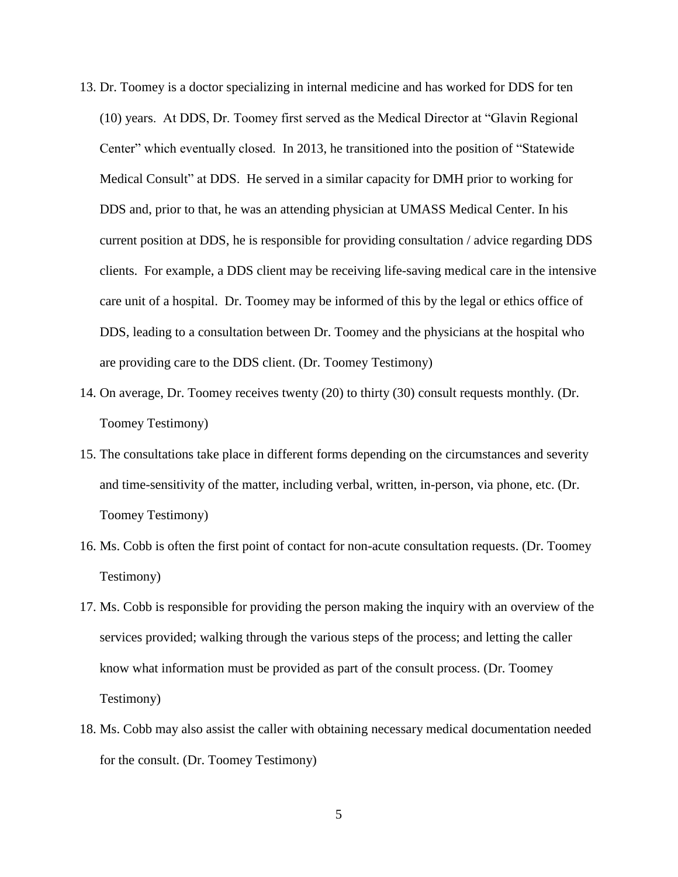- 13. Dr. Toomey is a doctor specializing in internal medicine and has worked for DDS for ten (10) years. At DDS, Dr. Toomey first served as the Medical Director at "Glavin Regional Center" which eventually closed. In 2013, he transitioned into the position of "Statewide Medical Consult" at DDS. He served in a similar capacity for DMH prior to working for DDS and, prior to that, he was an attending physician at UMASS Medical Center. In his current position at DDS, he is responsible for providing consultation / advice regarding DDS clients. For example, a DDS client may be receiving life-saving medical care in the intensive care unit of a hospital. Dr. Toomey may be informed of this by the legal or ethics office of DDS, leading to a consultation between Dr. Toomey and the physicians at the hospital who are providing care to the DDS client. (Dr. Toomey Testimony)
- 14. On average, Dr. Toomey receives twenty (20) to thirty (30) consult requests monthly. (Dr. Toomey Testimony)
- 15. The consultations take place in different forms depending on the circumstances and severity and time-sensitivity of the matter, including verbal, written, in-person, via phone, etc. (Dr. Toomey Testimony)
- 16. Ms. Cobb is often the first point of contact for non-acute consultation requests. (Dr. Toomey Testimony)
- 17. Ms. Cobb is responsible for providing the person making the inquiry with an overview of the services provided; walking through the various steps of the process; and letting the caller know what information must be provided as part of the consult process. (Dr. Toomey Testimony)
- 18. Ms. Cobb may also assist the caller with obtaining necessary medical documentation needed for the consult. (Dr. Toomey Testimony)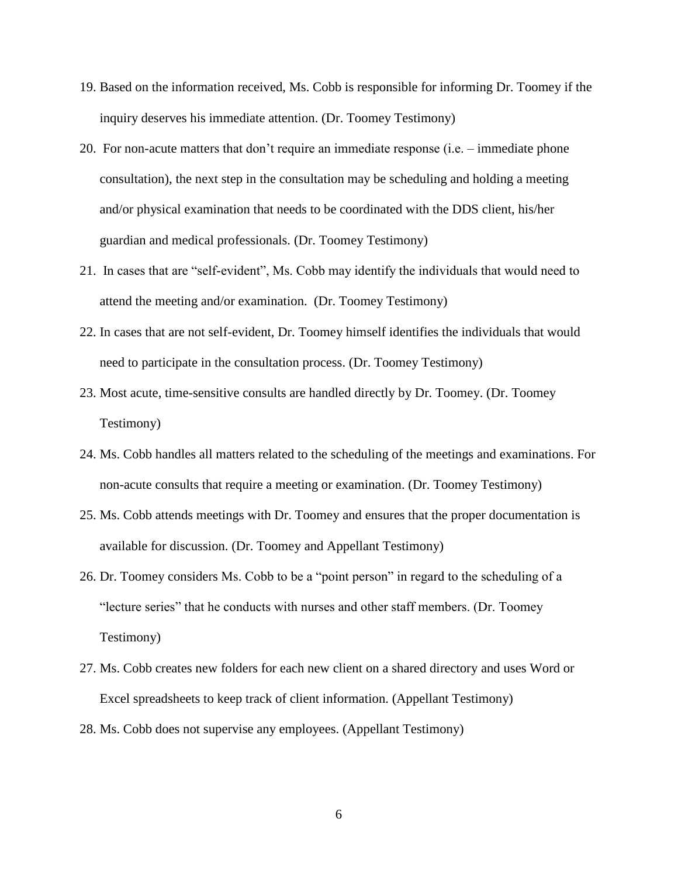- 19. Based on the information received, Ms. Cobb is responsible for informing Dr. Toomey if the inquiry deserves his immediate attention. (Dr. Toomey Testimony)
- 20. For non-acute matters that don't require an immediate response (i.e. immediate phone consultation), the next step in the consultation may be scheduling and holding a meeting and/or physical examination that needs to be coordinated with the DDS client, his/her guardian and medical professionals. (Dr. Toomey Testimony)
- 21. In cases that are "self-evident", Ms. Cobb may identify the individuals that would need to attend the meeting and/or examination. (Dr. Toomey Testimony)
- 22. In cases that are not self-evident, Dr. Toomey himself identifies the individuals that would need to participate in the consultation process. (Dr. Toomey Testimony)
- 23. Most acute, time-sensitive consults are handled directly by Dr. Toomey. (Dr. Toomey Testimony)
- 24. Ms. Cobb handles all matters related to the scheduling of the meetings and examinations. For non-acute consults that require a meeting or examination. (Dr. Toomey Testimony)
- 25. Ms. Cobb attends meetings with Dr. Toomey and ensures that the proper documentation is available for discussion. (Dr. Toomey and Appellant Testimony)
- 26. Dr. Toomey considers Ms. Cobb to be a "point person" in regard to the scheduling of a "lecture series" that he conducts with nurses and other staff members. (Dr. Toomey Testimony)
- 27. Ms. Cobb creates new folders for each new client on a shared directory and uses Word or Excel spreadsheets to keep track of client information. (Appellant Testimony)
- 28. Ms. Cobb does not supervise any employees. (Appellant Testimony)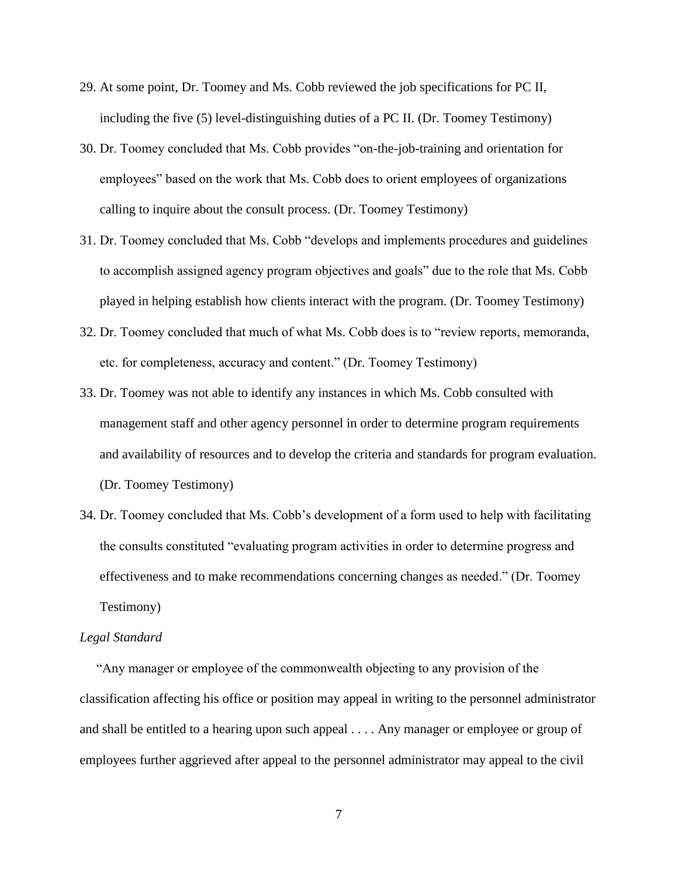- 29. At some point, Dr. Toomey and Ms. Cobb reviewed the job specifications for PC II, including the five (5) level-distinguishing duties of a PC II. (Dr. Toomey Testimony)
- 30. Dr. Toomey concluded that Ms. Cobb provides "on-the-job-training and orientation for employees" based on the work that Ms. Cobb does to orient employees of organizations calling to inquire about the consult process. (Dr. Toomey Testimony)
- 31. Dr. Toomey concluded that Ms. Cobb "develops and implements procedures and guidelines to accomplish assigned agency program objectives and goals" due to the role that Ms. Cobb played in helping establish how clients interact with the program. (Dr. Toomey Testimony)
- 32. Dr. Toomey concluded that much of what Ms. Cobb does is to "review reports, memoranda, etc. for completeness, accuracy and content." (Dr. Toomey Testimony)
- 33. Dr. Toomey was not able to identify any instances in which Ms. Cobb consulted with management staff and other agency personnel in order to determine program requirements and availability of resources and to develop the criteria and standards for program evaluation. (Dr. Toomey Testimony)
- 34. Dr. Toomey concluded that Ms. Cobb's development of a form used to help with facilitating the consults constituted "evaluating program activities in order to determine progress and effectiveness and to make recommendations concerning changes as needed." (Dr. Toomey Testimony)

#### *Legal Standard*

"Any manager or employee of the commonwealth objecting to any provision of the classification affecting his office or position may appeal in writing to the personnel administrator and shall be entitled to a hearing upon such appeal . . . . Any manager or employee or group of employees further aggrieved after appeal to the personnel administrator may appeal to the civil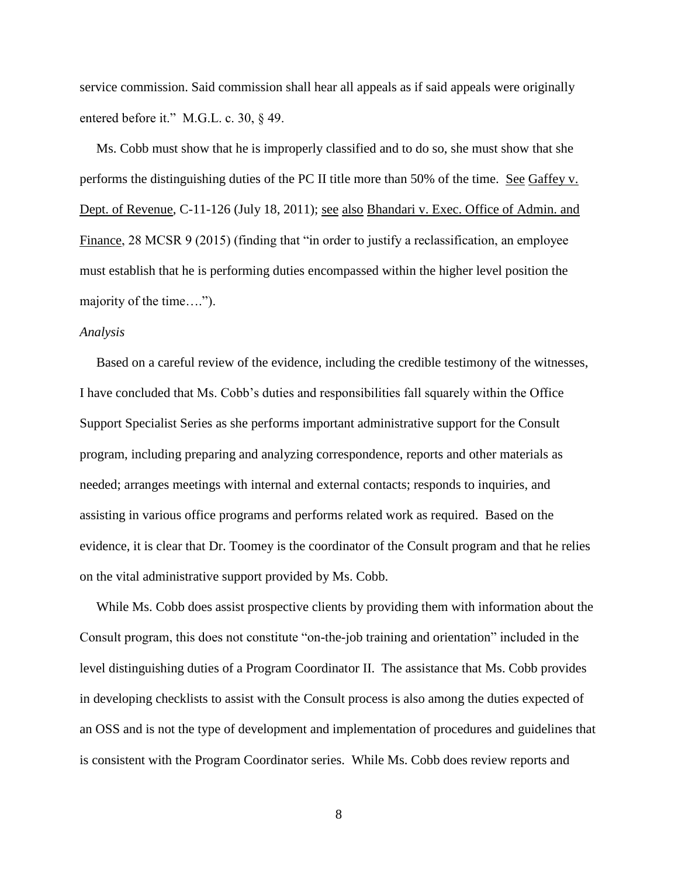service commission. Said commission shall hear all appeals as if said appeals were originally entered before it." M.G.L. c. 30, § 49.

 Ms. Cobb must show that he is improperly classified and to do so, she must show that she performs the distinguishing duties of the PC II title more than 50% of the time. See Gaffey v. Dept. of Revenue, C-11-126 (July 18, 2011); see also Bhandari v. Exec. Office of Admin. and Finance, 28 MCSR 9 (2015) (finding that "in order to justify a reclassification, an employee must establish that he is performing duties encompassed within the higher level position the majority of the time….").

#### *Analysis*

 Based on a careful review of the evidence, including the credible testimony of the witnesses, I have concluded that Ms. Cobb's duties and responsibilities fall squarely within the Office Support Specialist Series as she performs important administrative support for the Consult program, including preparing and analyzing correspondence, reports and other materials as needed; arranges meetings with internal and external contacts; responds to inquiries, and assisting in various office programs and performs related work as required. Based on the evidence, it is clear that Dr. Toomey is the coordinator of the Consult program and that he relies on the vital administrative support provided by Ms. Cobb.

 While Ms. Cobb does assist prospective clients by providing them with information about the Consult program, this does not constitute "on-the-job training and orientation" included in the level distinguishing duties of a Program Coordinator II. The assistance that Ms. Cobb provides in developing checklists to assist with the Consult process is also among the duties expected of an OSS and is not the type of development and implementation of procedures and guidelines that is consistent with the Program Coordinator series. While Ms. Cobb does review reports and